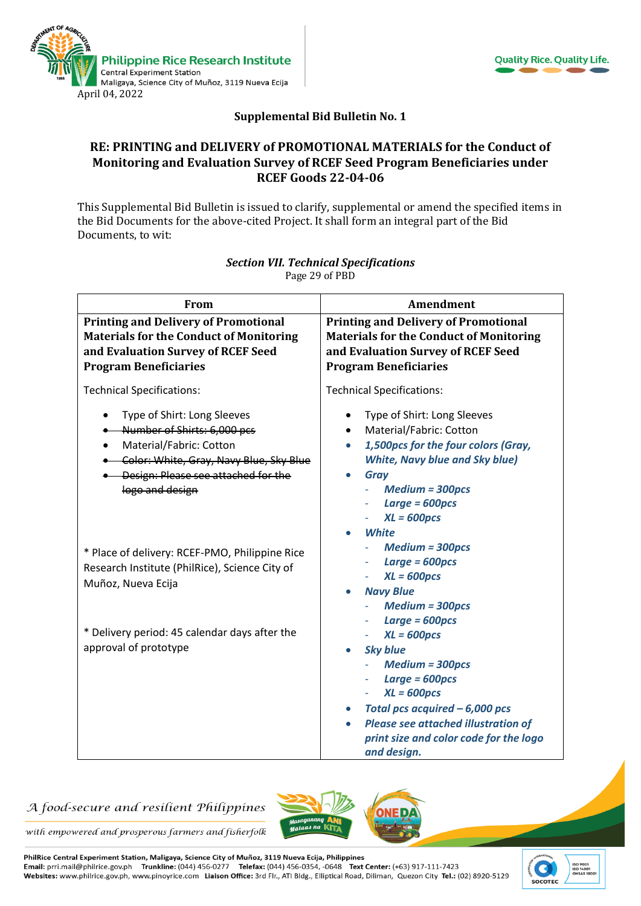



## **Supplemental Bid Bulletin No. 1**

### **RE: PRINTING and DELIVERY of PROMOTIONAL MATERIALS for the Conduct of Monitoring and Evaluation Survey of RCEF Seed Program Beneficiaries under RCEF Goods 22-04-06**

This Supplemental Bid Bulletin is issued to clarify, supplemental or amend the specified items in the Bid Documents for the above-cited Project. It shall form an integral part of the Bid Documents, to wit:

| From                                                                                                                                                                                                        | <b>Amendment</b>                                                                                                                                                                                                                                                                               |
|-------------------------------------------------------------------------------------------------------------------------------------------------------------------------------------------------------------|------------------------------------------------------------------------------------------------------------------------------------------------------------------------------------------------------------------------------------------------------------------------------------------------|
| <b>Printing and Delivery of Promotional</b><br><b>Materials for the Conduct of Monitoring</b><br>and Evaluation Survey of RCEF Seed<br><b>Program Beneficiaries</b>                                         | <b>Printing and Delivery of Promotional</b><br><b>Materials for the Conduct of Monitoring</b><br>and Evaluation Survey of RCEF Seed<br><b>Program Beneficiaries</b>                                                                                                                            |
| <b>Technical Specifications:</b>                                                                                                                                                                            | <b>Technical Specifications:</b>                                                                                                                                                                                                                                                               |
| Type of Shirt: Long Sleeves<br>Number of Shirts: 6,000 pcs<br>Material/Fabric: Cotton<br>$\bullet$<br>. Color: White, Gray, Navy Blue, Sky Blue<br>• Design: Please see attached for the<br>logo and design | Type of Shirt: Long Sleeves<br>$\bullet$<br>Material/Fabric: Cotton<br>$\bullet$<br>1,500pcs for the four colors (Gray,<br>$\bullet$<br><b>White, Navy blue and Sky blue)</b><br><b>Gray</b><br>$\bullet$<br><b>Medium = 300pcs</b><br>$Large = 600pcs$<br>$XL = 600pcs$<br>White<br>$\bullet$ |
| * Place of delivery: RCEF-PMO, Philippine Rice<br>Research Institute (PhilRice), Science City of<br>Muñoz, Nueva Ecija                                                                                      | $Median = 300pcs$<br>$Large = 600pcs$<br>$\overline{\phantom{a}}$<br>$XL = 600pcs$<br><b>Navy Blue</b><br><b>Medium = 300pcs</b>                                                                                                                                                               |
| * Delivery period: 45 calendar days after the<br>approval of prototype                                                                                                                                      | Large $= 600 pcs$<br>$XL = 600pcs$<br><b>Sky blue</b><br>$\bullet$<br><b>Medium = 300pcs</b><br>Large $= 600 pcs$<br>$XL = 600pcs$<br>Total pcs acquired $-6,000$ pcs<br>$\bullet$<br><b>Please see attached illustration of</b><br>print size and color code for the logo<br>and design.      |

#### *Section VII. Technical Specifications* Page 29 of PBD

## A food-secure and resilient Philippines



with empowered and prosperous farmers and fisherfolk

PhilRice Central Experiment Station, Maligaya, Science City of Muñoz, 3119 Nueva Ecija, Philippines Email: prri.mail@philrice.gov.ph Trunkline: (044) 456-0277 Telefax: (044) 456-0354, -0648 Text Center: (+63) 917-111-7423 Websites: www.philrice.gov.ph, www.pinoyrice.com Liaison Office: 3rd Flr., ATI Bldg., Elliptical Road, Diliman, Quezon City Tel.: (02) 8920-5129